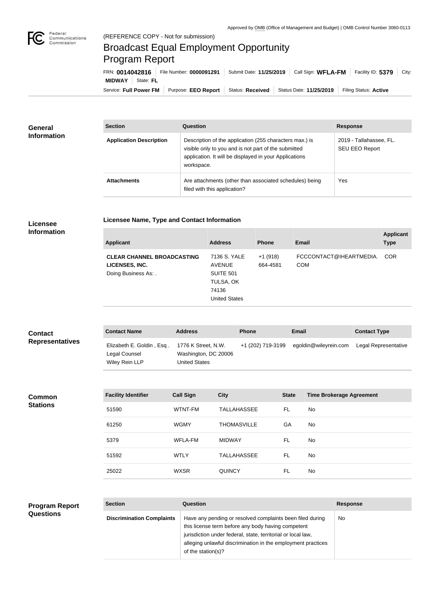

## Broadcast Equal Employment Opportunity Program Report

**Licensee Name, Type and Contact Information**

Service: Full Power FM Purpose: EEO Report | Status: Received | Status Date: 11/25/2019 | Filing Status: Active **MIDWAY** State: **FL** FRN: **0014042816** File Number: **0000091291** Submit Date: **11/25/2019** Call Sign: **WFLA-FM** Facility ID: **5379** City:

| <b>General</b>     | <b>Section</b>                 | Question                                                                                                                                                                                | <b>Response</b>                                  |
|--------------------|--------------------------------|-----------------------------------------------------------------------------------------------------------------------------------------------------------------------------------------|--------------------------------------------------|
| <b>Information</b> | <b>Application Description</b> | Description of the application (255 characters max.) is<br>visible only to you and is not part of the submitted<br>application. It will be displayed in your Applications<br>workspace. | 2019 - Tallahassee, FL.<br><b>SEU EEO Report</b> |
|                    | <b>Attachments</b>             | Are attachments (other than associated schedules) being<br>filed with this application?                                                                                                 | <b>Yes</b>                                       |

## **Licensee Information**

| <b>Applicant</b>                                                            | <b>Address</b>                                                                           | <b>Phone</b>          | <b>Email</b>                          | <b>Applicant</b><br><b>Type</b> |
|-----------------------------------------------------------------------------|------------------------------------------------------------------------------------------|-----------------------|---------------------------------------|---------------------------------|
| <b>CLEAR CHANNEL BROADCASTING</b><br>LICENSES, INC.<br>Doing Business As: . | 7136 S. YALE<br><b>AVENUE</b><br>SUITE 501<br>TULSA, OK<br>74136<br><b>United States</b> | $+1(918)$<br>664-4581 | FCCCONTACT@IHEARTMEDIA.<br><b>COM</b> | <b>COR</b>                      |

| <b>Contact</b>         | <b>Contact Name</b>                                          | <b>Address</b>                                                      | <b>Phone</b>      | <b>Email</b>          | <b>Contact Type</b>  |
|------------------------|--------------------------------------------------------------|---------------------------------------------------------------------|-------------------|-----------------------|----------------------|
| <b>Representatives</b> | Elizabeth E. Goldin, Esq.<br>Legal Counsel<br>Wiley Rein LLP | 1776 K Street, N.W.<br>Washington, DC 20006<br><b>United States</b> | +1 (202) 719-3199 | egoldin@wileyrein.com | Legal Representative |

**Common Stations**

| <b>Facility Identifier</b> | <b>Call Sign</b> | <b>City</b>        | <b>State</b> | <b>Time Brokerage Agreement</b> |
|----------------------------|------------------|--------------------|--------------|---------------------------------|
| 51590                      | WTNT-FM          | <b>TALLAHASSEE</b> | FL.          | No.                             |
| 61250                      | <b>WGMY</b>      | <b>THOMASVILLE</b> | GA           | No.                             |
| 5379                       | <b>WFLA-FM</b>   | <b>MIDWAY</b>      | FL           | <b>No</b>                       |
| 51592                      | <b>WTLY</b>      | <b>TALLAHASSEE</b> | FL.          | <b>No</b>                       |
| 25022                      | <b>WXSR</b>      | QUINCY             | FL           | No.                             |

## **Program Report Questions**

| <b>Section</b>                   | Question                                                                                                                                                                                                                                                              | <b>Response</b> |
|----------------------------------|-----------------------------------------------------------------------------------------------------------------------------------------------------------------------------------------------------------------------------------------------------------------------|-----------------|
| <b>Discrimination Complaints</b> | Have any pending or resolved complaints been filed during<br>this license term before any body having competent<br>jurisdiction under federal, state, territorial or local law,<br>alleging unlawful discrimination in the employment practices<br>of the station(s)? | No.             |